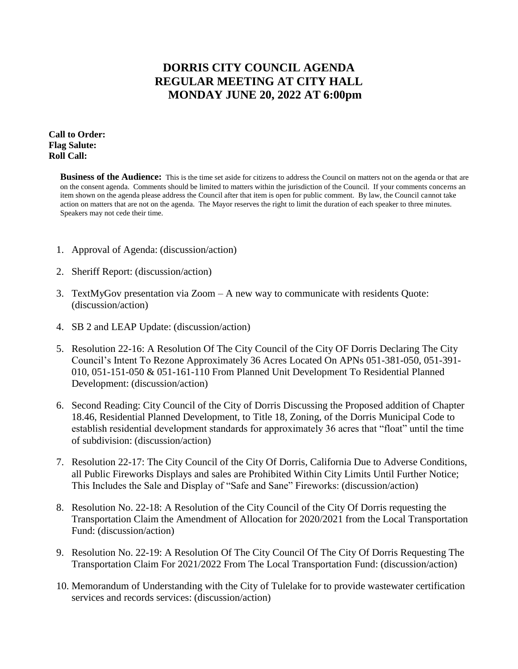## **DORRIS CITY COUNCIL AGENDA REGULAR MEETING AT CITY HALL MONDAY JUNE 20, 2022 AT 6:00pm**

**Call to Order: Flag Salute: Roll Call:**

> **Business of the Audience:** This is the time set aside for citizens to address the Council on matters not on the agenda or that are on the consent agenda. Comments should be limited to matters within the jurisdiction of the Council. If your comments concerns an item shown on the agenda please address the Council after that item is open for public comment. By law, the Council cannot take action on matters that are not on the agenda. The Mayor reserves the right to limit the duration of each speaker to three minutes. Speakers may not cede their time.

- 1. Approval of Agenda: (discussion/action)
- 2. Sheriff Report: (discussion/action)
- 3. TextMyGov presentation via Zoom A new way to communicate with residents Quote: (discussion/action)
- 4. SB 2 and LEAP Update: (discussion/action)
- 5. Resolution 22-16: A Resolution Of The City Council of the City OF Dorris Declaring The City Council's Intent To Rezone Approximately 36 Acres Located On APNs 051-381-050, 051-391- 010, 051-151-050 & 051-161-110 From Planned Unit Development To Residential Planned Development: (discussion/action)
- 6. Second Reading: City Council of the City of Dorris Discussing the Proposed addition of Chapter 18.46, Residential Planned Development, to Title 18, Zoning, of the Dorris Municipal Code to establish residential development standards for approximately 36 acres that "float" until the time of subdivision: (discussion/action)
- 7. Resolution 22-17: The City Council of the City Of Dorris, California Due to Adverse Conditions, all Public Fireworks Displays and sales are Prohibited Within City Limits Until Further Notice; This Includes the Sale and Display of "Safe and Sane" Fireworks: (discussion/action)
- 8. Resolution No. 22-18: A Resolution of the City Council of the City Of Dorris requesting the Transportation Claim the Amendment of Allocation for 2020/2021 from the Local Transportation Fund: (discussion/action)
- 9. Resolution No. 22-19: A Resolution Of The City Council Of The City Of Dorris Requesting The Transportation Claim For 2021/2022 From The Local Transportation Fund: (discussion/action)
- 10. Memorandum of Understanding with the City of Tulelake for to provide wastewater certification services and records services: (discussion/action)